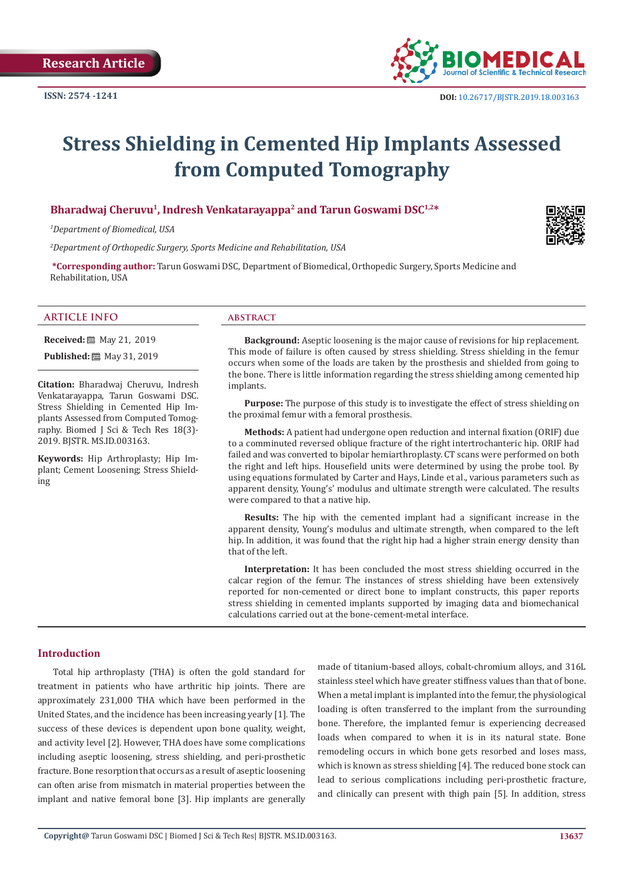

# **Stress Shielding in Cemented Hip Implants Assessed from Computed Tomography**

## **Bharadwaj Cheruvu1, Indresh Venkatarayappa2 and Tarun Goswami DSC1,2\***

*1 Department of Biomedical, USA*

*2 Department of Orthopedic Surgery, Sports Medicine and Rehabilitation, USA*

**\*Corresponding author:** Tarun Goswami DSC, Department of Biomedical, Orthopedic Surgery, Sports Medicine and Rehabilitation, USA

#### **ARTICLE INFO abstract**

**Received:** 圖 May 21, 2019

**Published:** 圖 May 31, 2019

**Citation:** Bharadwaj Cheruvu, Indresh Venkatarayappa, Tarun Goswami DSC. Stress Shielding in Cemented Hip Implants Assessed from Computed Tomography. Biomed J Sci & Tech Res 18(3)- 2019. BJSTR. MS.ID.003163.

**Keywords:** Hip Arthroplasty; Hip Implant; Cement Loosening; Stress Shielding

**Background:** Aseptic loosening is the major cause of revisions for hip replacement. This mode of failure is often caused by stress shielding. Stress shielding in the femur occurs when some of the loads are taken by the prosthesis and shielded from going to the bone. There is little information regarding the stress shielding among cemented hip implants.

**Purpose:** The purpose of this study is to investigate the effect of stress shielding on the proximal femur with a femoral prosthesis.

**Methods:** A patient had undergone open reduction and internal fixation (ORIF) due to a comminuted reversed oblique fracture of the right intertrochanteric hip. ORIF had failed and was converted to bipolar hemiarthroplasty. CT scans were performed on both the right and left hips. Housefield units were determined by using the probe tool. By using equations formulated by Carter and Hays, Linde et al., various parameters such as apparent density, Young's' modulus and ultimate strength were calculated. The results were compared to that a native hip.

**Results:** The hip with the cemented implant had a significant increase in the apparent density, Young's modulus and ultimate strength, when compared to the left hip. In addition, it was found that the right hip had a higher strain energy density than that of the left.

**Interpretation:** It has been concluded the most stress shielding occurred in the calcar region of the femur. The instances of stress shielding have been extensively reported for non-cemented or direct bone to implant constructs, this paper reports stress shielding in cemented implants supported by imaging data and biomechanical calculations carried out at the bone-cement-metal interface.

#### **Introduction**

Total hip arthroplasty (THA) is often the gold standard for treatment in patients who have arthritic hip joints. There are approximately 231,000 THA which have been performed in the United States, and the incidence has been increasing yearly [1]. The success of these devices is dependent upon bone quality, weight, and activity level [2]. However, THA does have some complications including aseptic loosening, stress shielding, and peri-prosthetic fracture. Bone resorption that occurs as a result of aseptic loosening can often arise from mismatch in material properties between the implant and native femoral bone [3]. Hip implants are generally

made of titanium-based alloys, cobalt-chromium alloys, and 316L stainless steel which have greater stiffness values than that of bone. When a metal implant is implanted into the femur, the physiological loading is often transferred to the implant from the surrounding bone. Therefore, the implanted femur is experiencing decreased loads when compared to when it is in its natural state. Bone remodeling occurs in which bone gets resorbed and loses mass, which is known as stress shielding [4]. The reduced bone stock can lead to serious complications including peri-prosthetic fracture, and clinically can present with thigh pain [5]. In addition, stress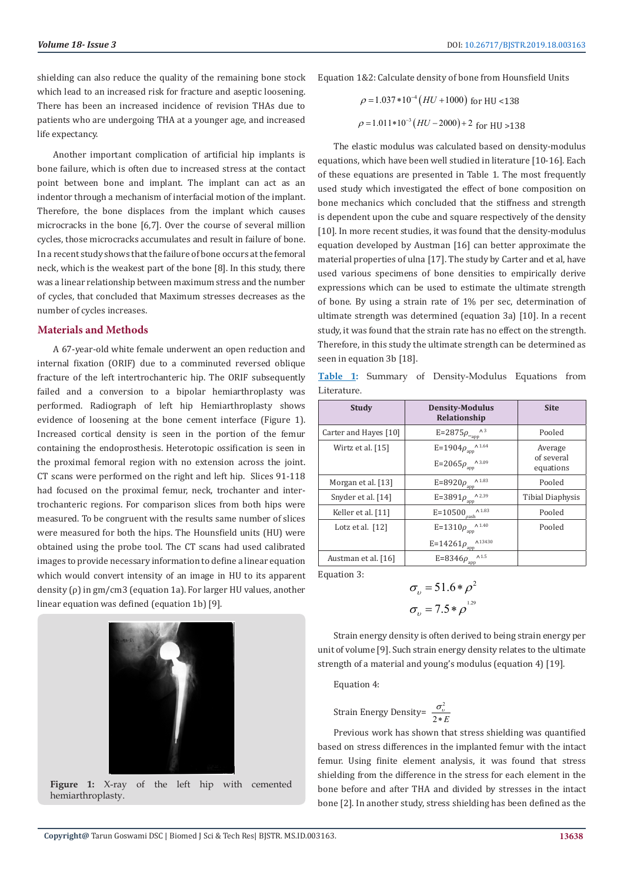shielding can also reduce the quality of the remaining bone stock which lead to an increased risk for fracture and aseptic loosening. There has been an increased incidence of revision THAs due to patients who are undergoing THA at a younger age, and increased life expectancy.

Another important complication of artificial hip implants is bone failure, which is often due to increased stress at the contact point between bone and implant. The implant can act as an indentor through a mechanism of interfacial motion of the implant. Therefore, the bone displaces from the implant which causes microcracks in the bone [6,7]. Over the course of several million cycles, those microcracks accumulates and result in failure of bone. In a recent study shows that the failure of bone occurs at the femoral neck, which is the weakest part of the bone [8]. In this study, there was a linear relationship between maximum stress and the number of cycles, that concluded that Maximum stresses decreases as the number of cycles increases.

### **Materials and Methods**

A 67-year-old white female underwent an open reduction and internal fixation (ORIF) due to a comminuted reversed oblique fracture of the left intertrochanteric hip. The ORIF subsequently failed and a conversion to a bipolar hemiarthroplasty was performed. Radiograph of left hip Hemiarthroplasty shows evidence of loosening at the bone cement interface (Figure 1). Increased cortical density is seen in the portion of the femur containing the endoprosthesis. Heterotopic ossification is seen in the proximal femoral region with no extension across the joint. CT scans were performed on the right and left hip. Slices 91-118 had focused on the proximal femur, neck, trochanter and intertrochanteric regions. For comparison slices from both hips were measured. To be congruent with the results same number of slices were measured for both the hips. The Hounsfield units (HU) were obtained using the probe tool. The CT scans had used calibrated images to provide necessary information to define a linear equation which would convert intensity of an image in HU to its apparent density (ρ) in gm/cm3 (equation 1a). For larger HU values, another linear equation was defined (equation 1b) [9].



**Figure 1:** X-ray of the left hip with cemented hemiarthroplasty.

Equation 1&2: Calculate density of bone from Hounsfield Units

$$
\rho = 1.037 * 10^{-4} (HU + 1000) \text{ for HU} < 138
$$
\n
$$
\rho = 1.011 * 10^{-3} (HU - 2000) + 2 \text{ for HU} > 138
$$

The elastic modulus was calculated based on density-modulus equations, which have been well studied in literature [10-16]. Each of these equations are presented in Table 1. The most frequently used study which investigated the effect of bone composition on bone mechanics which concluded that the stiffness and strength is dependent upon the cube and square respectively of the density [10]. In more recent studies, it was found that the density-modulus equation developed by Austman [16] can better approximate the material properties of ulna [17]. The study by Carter and et al, have used various specimens of bone densities to empirically derive expressions which can be used to estimate the ultimate strength of bone. By using a strain rate of 1% per sec, determination of ultimate strength was determined (equation 3a) [10]. In a recent study, it was found that the strain rate has no effect on the strength. Therefore, in this study the ultimate strength can be determined as seen in equation 3b [18].

**Table 1:** Summary of Density-Modulus Equations from Literature.

| <b>Study</b>          | <b>Density-Modulus</b><br>Relationship                                                | <b>Site</b>                        |
|-----------------------|---------------------------------------------------------------------------------------|------------------------------------|
| Carter and Hayes [10] | $\Lambda$ 3<br>E=2875 $\rho_{\text{-app}}'$                                           | Pooled                             |
| Wirtz et al. [15]     | $\Lambda$ 1.64<br>E=1904 $\rho_{app}$<br>$\Lambda$ 3.09<br>E=2065 $\rho_{\text{app}}$ | Average<br>of several<br>equations |
| Morgan et al. [13]    | $\Lambda$ 1.83<br>E=8920 $\rho_{app}$                                                 | Pooled                             |
| Snyder et al. [14]    | $\Lambda$ 2.39<br>E=3891 $\rho_{\text{app}}$                                          | Tibial Diaphysis                   |
| Keller et al. [11]    | $\Lambda$ 1.83<br>$E = 10500$<br>oash                                                 | Pooled                             |
| Lotz et al. [12]      | $\Lambda$ 1.40<br>E=1310 $\rho_{app}$ '<br>A13430<br>E=14261 $\rho_{app}$             | Pooled                             |
| Austman et al. [16]   | $\wedge$ 1.5<br>E=8346 $\rho_{app}$                                                   |                                    |

Equation 3:

$$
\sigma_v = 51.6 * \rho^2
$$

$$
\sigma_v = 7.5 * \rho^{129}
$$

Strain energy density is often derived to being strain energy per unit of volume [9]. Such strain energy density relates to the ultimate strength of a material and young's modulus (equation 4) [19].

Equation 4:

Strain Energy Density=  $\frac{\sigma_v^2}{2\pi}$ 2 *E*  $\sigma_{v}$ ∗

Previous work has shown that stress shielding was quantified based on stress differences in the implanted femur with the intact femur. Using finite element analysis, it was found that stress shielding from the difference in the stress for each element in the bone before and after THA and divided by stresses in the intact bone [2]. In another study, stress shielding has been defined as the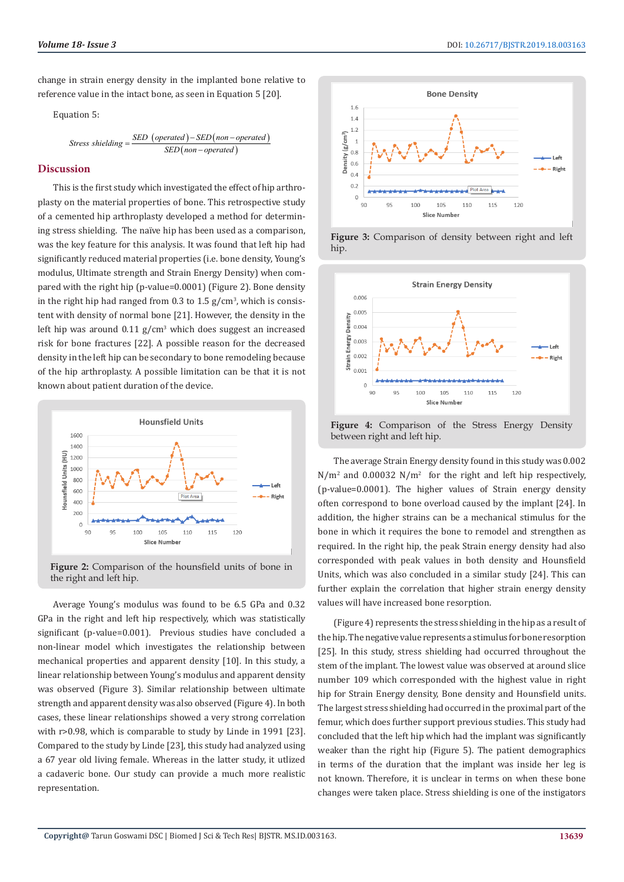change in strain energy density in the implanted bone relative to reference value in the intact bone, as seen in Equation 5 [20].

Equation 5:

 $Stress\ shielding = \frac{SED\ (operated) - SED (non-operated)}{SED (non-operated)}$  $SED (non-operated)$ 

#### **Discussion**

This is the first study which investigated the effect of hip arthroplasty on the material properties of bone. This retrospective study of a cemented hip arthroplasty developed a method for determining stress shielding. The naïve hip has been used as a comparison, was the key feature for this analysis. It was found that left hip had significantly reduced material properties (i.e. bone density, Young's modulus, Ultimate strength and Strain Energy Density) when compared with the right hip (p-value=0.0001) (Figure 2). Bone density in the right hip had ranged from  $0.3$  to  $1.5$  g/cm<sup>3</sup>, which is consistent with density of normal bone [21]. However, the density in the left hip was around 0.11 g/cm<sup>3</sup> which does suggest an increased risk for bone fractures [22]. A possible reason for the decreased density in the left hip can be secondary to bone remodeling because of the hip arthroplasty. A possible limitation can be that it is not known about patient duration of the device.



**Figure 2:** Comparison of the hounsfield units of bone in the right and left hip.

Average Young's modulus was found to be 6.5 GPa and 0.32 GPa in the right and left hip respectively, which was statistically significant (p-value=0.001). Previous studies have concluded a non-linear model which investigates the relationship between mechanical properties and apparent density [10]. In this study, a linear relationship between Young's modulus and apparent density was observed (Figure 3). Similar relationship between ultimate strength and apparent density was also observed (Figure 4). In both cases, these linear relationships showed a very strong correlation with r>0.98, which is comparable to study by Linde in 1991 [23]. Compared to the study by Linde [23], this study had analyzed using a 67 year old living female. Whereas in the latter study, it utlized a cadaveric bone. Our study can provide a much more realistic representation.







**Figure 4:** Comparison of the Stress Energy Density between right and left hip.

The average Strain Energy density found in this study was 0.002  $N/m<sup>2</sup>$  and 0.00032  $N/m<sup>2</sup>$  for the right and left hip respectively, (p-value=0.0001). The higher values of Strain energy density often correspond to bone overload caused by the implant [24]. In addition, the higher strains can be a mechanical stimulus for the bone in which it requires the bone to remodel and strengthen as required. In the right hip, the peak Strain energy density had also corresponded with peak values in both density and Hounsfield Units, which was also concluded in a similar study [24]. This can further explain the correlation that higher strain energy density values will have increased bone resorption.

(Figure 4) represents the stress shielding in the hip as a result of the hip. The negative value represents a stimulus for bone resorption [25]. In this study, stress shielding had occurred throughout the stem of the implant. The lowest value was observed at around slice number 109 which corresponded with the highest value in right hip for Strain Energy density, Bone density and Hounsfield units. The largest stress shielding had occurred in the proximal part of the femur, which does further support previous studies. This study had concluded that the left hip which had the implant was significantly weaker than the right hip (Figure 5). The patient demographics in terms of the duration that the implant was inside her leg is not known. Therefore, it is unclear in terms on when these bone changes were taken place. Stress shielding is one of the instigators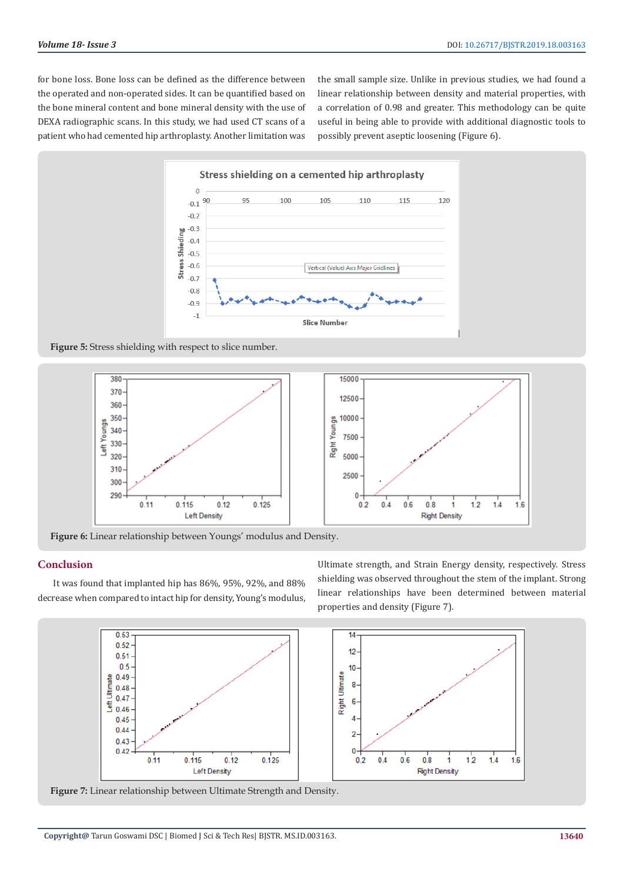for bone loss. Bone loss can be defined as the difference between the operated and non-operated sides. It can be quantified based on the bone mineral content and bone mineral density with the use of DEXA radiographic scans. In this study, we had used CT scans of a patient who had cemented hip arthroplasty. Another limitation was

the small sample size. Unlike in previous studies, we had found a linear relationship between density and material properties, with a correlation of 0.98 and greater. This methodology can be quite useful in being able to provide with additional diagnostic tools to possibly prevent aseptic loosening (Figure 6).



**Figure 5:** Stress shielding with respect to slice number.



**Figure 6:** Linear relationship between Youngs' modulus and Density.

#### **Conclusion**

It was found that implanted hip has 86%, 95%, 92%, and 88% decrease when compared to intact hip for density, Young's modulus, Ultimate strength, and Strain Energy density, respectively. Stress shielding was observed throughout the stem of the implant. Strong linear relationships have been determined between material properties and density (Figure 7).



**Figure 7:** Linear relationship between Ultimate Strength and Density.